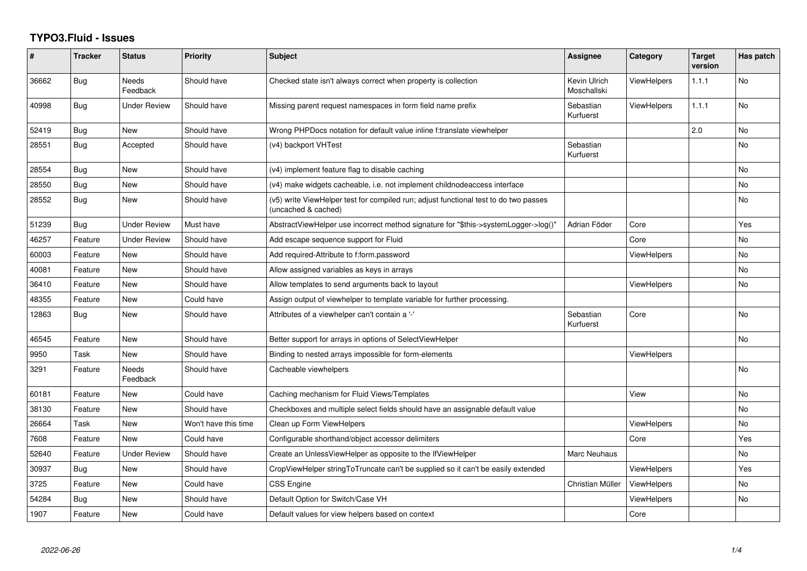## **TYPO3.Fluid - Issues**

| #     | <b>Tracker</b> | <b>Status</b>            | <b>Priority</b>      | <b>Subject</b>                                                                                              | Assignee                    | Category           | <b>Target</b><br>version | Has patch      |
|-------|----------------|--------------------------|----------------------|-------------------------------------------------------------------------------------------------------------|-----------------------------|--------------------|--------------------------|----------------|
| 36662 | <b>Bug</b>     | <b>Needs</b><br>Feedback | Should have          | Checked state isn't always correct when property is collection                                              | Kevin Ulrich<br>Moschallski | ViewHelpers        | 1.1.1                    | <b>No</b>      |
| 40998 | Bug            | Under Review             | Should have          | Missing parent request namespaces in form field name prefix                                                 | Sebastian<br>Kurfuerst      | <b>ViewHelpers</b> | 1.1.1                    | No             |
| 52419 | Bug            | New                      | Should have          | Wrong PHPDocs notation for default value inline f:translate viewhelper                                      |                             |                    | 2.0                      | No             |
| 28551 | Bug            | Accepted                 | Should have          | (v4) backport VHTest                                                                                        | Sebastian<br>Kurfuerst      |                    |                          | N <sub>o</sub> |
| 28554 | Bug            | <b>New</b>               | Should have          | (v4) implement feature flag to disable caching                                                              |                             |                    |                          | <b>No</b>      |
| 28550 | Bug            | New                      | Should have          | (v4) make widgets cacheable, i.e. not implement childnodeaccess interface                                   |                             |                    |                          | <b>No</b>      |
| 28552 | Bug            | New                      | Should have          | (v5) write ViewHelper test for compiled run; adjust functional test to do two passes<br>(uncached & cached) |                             |                    |                          | No             |
| 51239 | Bug            | Under Review             | Must have            | AbstractViewHelper use incorrect method signature for "\$this->systemLogger->log()"                         | Adrian Föder                | Core               |                          | Yes            |
| 46257 | Feature        | <b>Under Review</b>      | Should have          | Add escape sequence support for Fluid                                                                       |                             | Core               |                          | <b>No</b>      |
| 60003 | Feature        | New                      | Should have          | Add required-Attribute to f:form.password                                                                   |                             | <b>ViewHelpers</b> |                          | No             |
| 40081 | Feature        | <b>New</b>               | Should have          | Allow assigned variables as keys in arrays                                                                  |                             |                    |                          | <b>No</b>      |
| 36410 | Feature        | New                      | Should have          | Allow templates to send arguments back to layout                                                            |                             | <b>ViewHelpers</b> |                          | <b>No</b>      |
| 48355 | Feature        | New                      | Could have           | Assign output of viewhelper to template variable for further processing.                                    |                             |                    |                          |                |
| 12863 | Bug            | New                      | Should have          | Attributes of a viewhelper can't contain a '-'                                                              | Sebastian<br>Kurfuerst      | Core               |                          | <b>No</b>      |
| 46545 | Feature        | New                      | Should have          | Better support for arrays in options of SelectViewHelper                                                    |                             |                    |                          | <b>No</b>      |
| 9950  | Task           | New                      | Should have          | Binding to nested arrays impossible for form-elements                                                       |                             | <b>ViewHelpers</b> |                          |                |
| 3291  | Feature        | <b>Needs</b><br>Feedback | Should have          | Cacheable viewhelpers                                                                                       |                             |                    |                          | <b>No</b>      |
| 60181 | Feature        | <b>New</b>               | Could have           | Caching mechanism for Fluid Views/Templates                                                                 |                             | View               |                          | <b>No</b>      |
| 38130 | Feature        | New                      | Should have          | Checkboxes and multiple select fields should have an assignable default value                               |                             |                    |                          | <b>No</b>      |
| 26664 | Task           | <b>New</b>               | Won't have this time | Clean up Form ViewHelpers                                                                                   |                             | <b>ViewHelpers</b> |                          | <b>No</b>      |
| 7608  | Feature        | <b>New</b>               | Could have           | Configurable shorthand/object accessor delimiters                                                           |                             | Core               |                          | Yes            |
| 52640 | Feature        | <b>Under Review</b>      | Should have          | Create an UnlessViewHelper as opposite to the IfViewHelper                                                  | <b>Marc Neuhaus</b>         |                    |                          | <b>No</b>      |
| 30937 | Bug            | New                      | Should have          | CropViewHelper stringToTruncate can't be supplied so it can't be easily extended                            |                             | <b>ViewHelpers</b> |                          | Yes            |
| 3725  | Feature        | <b>New</b>               | Could have           | <b>CSS Engine</b>                                                                                           | Christian Müller            | <b>ViewHelpers</b> |                          | <b>No</b>      |
| 54284 | Bug            | New                      | Should have          | Default Option for Switch/Case VH                                                                           |                             | <b>ViewHelpers</b> |                          | No             |
| 1907  | Feature        | <b>New</b>               | Could have           | Default values for view helpers based on context                                                            |                             | Core               |                          |                |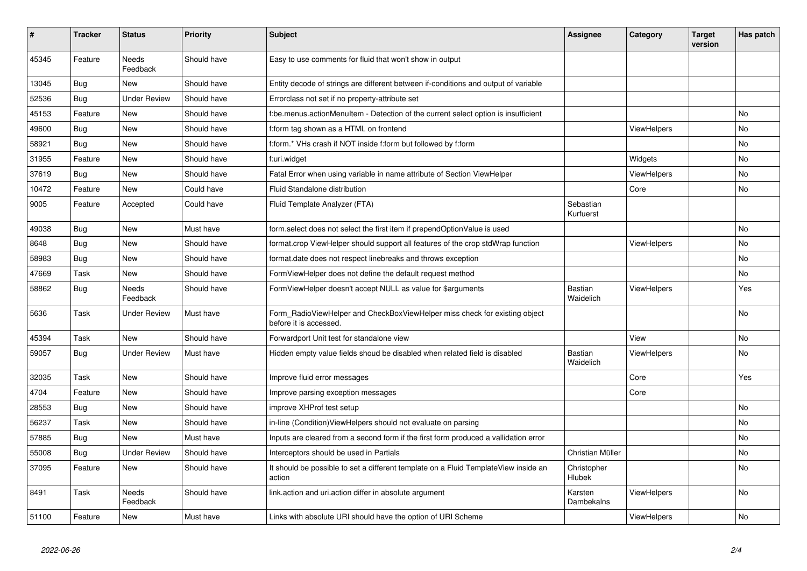| #     | <b>Tracker</b> | <b>Status</b>            | <b>Priority</b> | <b>Subject</b>                                                                                       | <b>Assignee</b>             | Category           | <b>Target</b><br>version | Has patch |
|-------|----------------|--------------------------|-----------------|------------------------------------------------------------------------------------------------------|-----------------------------|--------------------|--------------------------|-----------|
| 45345 | Feature        | <b>Needs</b><br>Feedback | Should have     | Easy to use comments for fluid that won't show in output                                             |                             |                    |                          |           |
| 13045 | Bug            | <b>New</b>               | Should have     | Entity decode of strings are different between if-conditions and output of variable                  |                             |                    |                          |           |
| 52536 | Bug            | <b>Under Review</b>      | Should have     | Errorclass not set if no property-attribute set                                                      |                             |                    |                          |           |
| 45153 | Feature        | <b>New</b>               | Should have     | f:be.menus.actionMenuItem - Detection of the current select option is insufficient                   |                             |                    |                          | <b>No</b> |
| 49600 | <b>Bug</b>     | <b>New</b>               | Should have     | f:form tag shown as a HTML on frontend                                                               |                             | <b>ViewHelpers</b> |                          | No        |
| 58921 | Bug            | New                      | Should have     | f:form.* VHs crash if NOT inside f:form but followed by f:form                                       |                             |                    |                          | No        |
| 31955 | Feature        | <b>New</b>               | Should have     | f:uri.widget                                                                                         |                             | Widgets            |                          | No        |
| 37619 | Bug            | <b>New</b>               | Should have     | Fatal Error when using variable in name attribute of Section ViewHelper                              |                             | ViewHelpers        |                          | No        |
| 10472 | Feature        | New                      | Could have      | Fluid Standalone distribution                                                                        |                             | Core               |                          | No        |
| 9005  | Feature        | Accepted                 | Could have      | Fluid Template Analyzer (FTA)                                                                        | Sebastian<br>Kurfuerst      |                    |                          |           |
| 49038 | <b>Bug</b>     | <b>New</b>               | Must have       | form.select does not select the first item if prependOptionValue is used                             |                             |                    |                          | No        |
| 8648  | Bug            | New                      | Should have     | format.crop ViewHelper should support all features of the crop stdWrap function                      |                             | ViewHelpers        |                          | <b>No</b> |
| 58983 | <b>Bug</b>     | <b>New</b>               | Should have     | format.date does not respect linebreaks and throws exception                                         |                             |                    |                          | <b>No</b> |
| 47669 | Task           | New                      | Should have     | FormViewHelper does not define the default request method                                            |                             |                    |                          | No.       |
| 58862 | <b>Bug</b>     | Needs<br>Feedback        | Should have     | FormViewHelper doesn't accept NULL as value for \$arguments                                          | Bastian<br>Waidelich        | <b>ViewHelpers</b> |                          | Yes       |
| 5636  | Task           | Under Review             | Must have       | Form RadioViewHelper and CheckBoxViewHelper miss check for existing object<br>before it is accessed. |                             |                    |                          | No        |
| 45394 | Task           | <b>New</b>               | Should have     | Forwardport Unit test for standalone view                                                            |                             | View               |                          | No.       |
| 59057 | Bug            | <b>Under Review</b>      | Must have       | Hidden empty value fields shoud be disabled when related field is disabled                           | <b>Bastian</b><br>Waidelich | <b>ViewHelpers</b> |                          | No        |
| 32035 | Task           | New                      | Should have     | Improve fluid error messages                                                                         |                             | Core               |                          | Yes       |
| 4704  | Feature        | New                      | Should have     | Improve parsing exception messages                                                                   |                             | Core               |                          |           |
| 28553 | Bug            | <b>New</b>               | Should have     | improve XHProf test setup                                                                            |                             |                    |                          | No        |
| 56237 | Task           | <b>New</b>               | Should have     | in-line (Condition)ViewHelpers should not evaluate on parsing                                        |                             |                    |                          | No        |
| 57885 | <b>Bug</b>     | <b>New</b>               | Must have       | Inputs are cleared from a second form if the first form produced a vallidation error                 |                             |                    |                          | No        |
| 55008 | <b>Bug</b>     | <b>Under Review</b>      | Should have     | Interceptors should be used in Partials                                                              | Christian Müller            |                    |                          | No        |
| 37095 | Feature        | New                      | Should have     | It should be possible to set a different template on a Fluid TemplateView inside an<br>action        | Christopher<br>Hlubek       |                    |                          | No        |
| 8491  | Task           | Needs<br>Feedback        | Should have     | link.action and uri.action differ in absolute argument                                               | Karsten<br>Dambekalns       | <b>ViewHelpers</b> |                          | No        |
| 51100 | Feature        | New                      | Must have       | Links with absolute URI should have the option of URI Scheme                                         |                             | <b>ViewHelpers</b> |                          | No        |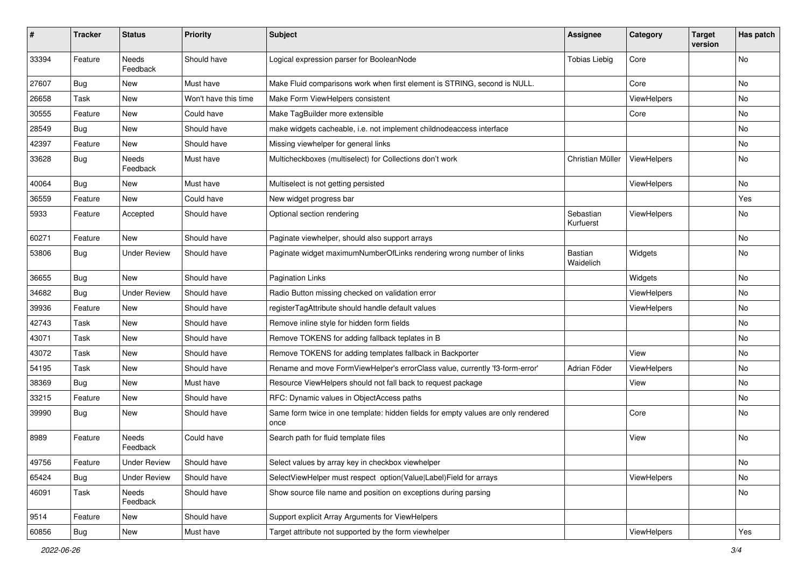| $\vert$ # | <b>Tracker</b> | <b>Status</b>       | <b>Priority</b>      | <b>Subject</b>                                                                            | <b>Assignee</b>        | Category    | <b>Target</b><br>version | Has patch |
|-----------|----------------|---------------------|----------------------|-------------------------------------------------------------------------------------------|------------------------|-------------|--------------------------|-----------|
| 33394     | Feature        | Needs<br>Feedback   | Should have          | Logical expression parser for BooleanNode                                                 | <b>Tobias Liebig</b>   | Core        |                          | No        |
| 27607     | Bug            | New                 | Must have            | Make Fluid comparisons work when first element is STRING, second is NULL.                 |                        | Core        |                          | No        |
| 26658     | Task           | New                 | Won't have this time | Make Form ViewHelpers consistent                                                          |                        | ViewHelpers |                          | No        |
| 30555     | Feature        | New                 | Could have           | Make TagBuilder more extensible                                                           |                        | Core        |                          | No        |
| 28549     | Bug            | New                 | Should have          | make widgets cacheable, i.e. not implement childnodeaccess interface                      |                        |             |                          | No        |
| 42397     | Feature        | New                 | Should have          | Missing viewhelper for general links                                                      |                        |             |                          | No        |
| 33628     | <b>Bug</b>     | Needs<br>Feedback   | Must have            | Multicheckboxes (multiselect) for Collections don't work                                  | Christian Müller       | ViewHelpers |                          | No        |
| 40064     | Bug            | New                 | Must have            | Multiselect is not getting persisted                                                      |                        | ViewHelpers |                          | No        |
| 36559     | Feature        | New                 | Could have           | New widget progress bar                                                                   |                        |             |                          | Yes       |
| 5933      | Feature        | Accepted            | Should have          | Optional section rendering                                                                | Sebastian<br>Kurfuerst | ViewHelpers |                          | No        |
| 60271     | Feature        | <b>New</b>          | Should have          | Paginate viewhelper, should also support arrays                                           |                        |             |                          | No        |
| 53806     | Bug            | <b>Under Review</b> | Should have          | Paginate widget maximumNumberOfLinks rendering wrong number of links                      | Bastian<br>Waidelich   | Widgets     |                          | No        |
| 36655     | Bug            | New                 | Should have          | <b>Pagination Links</b>                                                                   |                        | Widgets     |                          | No        |
| 34682     | Bug            | <b>Under Review</b> | Should have          | Radio Button missing checked on validation error                                          |                        | ViewHelpers |                          | No        |
| 39936     | Feature        | <b>New</b>          | Should have          | registerTagAttribute should handle default values                                         |                        | ViewHelpers |                          | No        |
| 42743     | Task           | New                 | Should have          | Remove inline style for hidden form fields                                                |                        |             |                          | No        |
| 43071     | Task           | New                 | Should have          | Remove TOKENS for adding fallback teplates in B                                           |                        |             |                          | No        |
| 43072     | Task           | New                 | Should have          | Remove TOKENS for adding templates fallback in Backporter                                 |                        | View        |                          | No        |
| 54195     | Task           | New                 | Should have          | Rename and move FormViewHelper's errorClass value, currently 'f3-form-error'              | Adrian Föder           | ViewHelpers |                          | No        |
| 38369     | Bug            | New                 | Must have            | Resource ViewHelpers should not fall back to request package                              |                        | View        |                          | No        |
| 33215     | Feature        | New                 | Should have          | RFC: Dynamic values in ObjectAccess paths                                                 |                        |             |                          | No        |
| 39990     | Bug            | New                 | Should have          | Same form twice in one template: hidden fields for empty values are only rendered<br>once |                        | Core        |                          | No        |
| 8989      | Feature        | Needs<br>Feedback   | Could have           | Search path for fluid template files                                                      |                        | View        |                          | No        |
| 49756     | Feature        | <b>Under Review</b> | Should have          | Select values by array key in checkbox viewhelper                                         |                        |             |                          | No        |
| 65424     | Bug            | <b>Under Review</b> | Should have          | SelectViewHelper must respect option(Value Label)Field for arrays                         |                        | ViewHelpers |                          | No        |
| 46091     | Task           | Needs<br>Feedback   | Should have          | Show source file name and position on exceptions during parsing                           |                        |             |                          | No        |
| 9514      | Feature        | New                 | Should have          | Support explicit Array Arguments for ViewHelpers                                          |                        |             |                          |           |
| 60856     | <b>Bug</b>     | New                 | Must have            | Target attribute not supported by the form viewhelper                                     |                        | ViewHelpers |                          | Yes       |